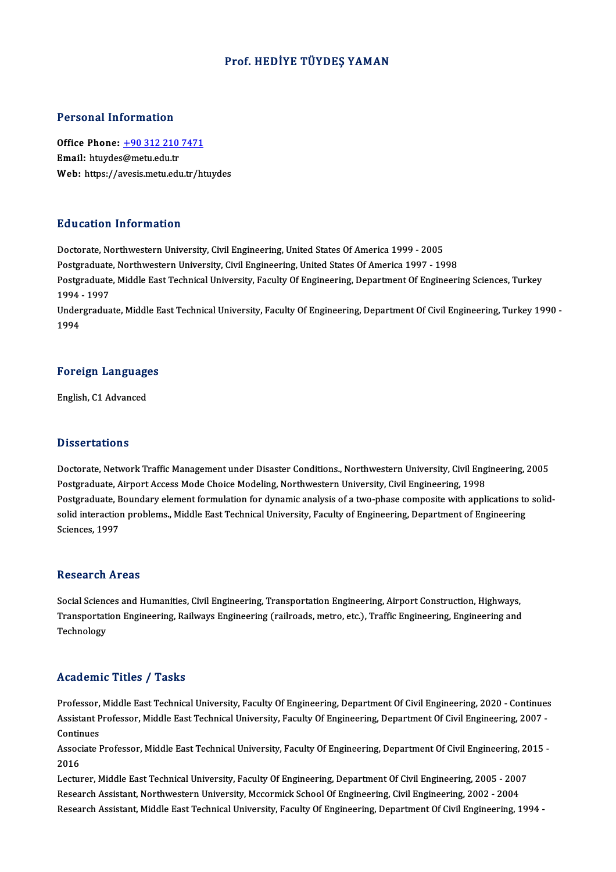#### Prof.HEDİYE TÜYDEŞ YAMAN

#### Personal Information

Personal Information<br>Office Phone: <u>+90 312 210 7471</u><br>Email: htuydes@matu.edu.tr office Phone: <u>+90 312 210</u><br>Email: htuydes[@metu.edu.tr](tel:+90 312 210 7471)<br>Web: https://avesis.metu.edu Email: htuydes@metu.edu.tr<br>Web: https://avesis.metu.edu.tr/htuydes

#### Education Information

Doctorate, Northwestern University, Civil Engineering, United States Of America 1999 - 2005 Putteducton Thromateuon<br>Doctorate, Northwestern University, Civil Engineering, United States Of America 1999 - 2005<br>Postgraduate, Northwestern University, Civil Engineering, United States Of America 1997 - 1998<br>Postgraduat Postgraduate, Middle East Technical University, Faculty Of Engineering, Department Of Engineering Sciences, Turkey<br>1994 - 1997 Postgraduate<br>Postgraduate<br>1994 - 1997<br>Undergradua Postgraduate, Middle East Technical University, Faculty Of Engineering, Department Of Engineering Sciences, Turkey<br>1994 - 1997<br>Undergraduate, Middle East Technical University, Faculty Of Engineering, Department Of Civil En 1994<br>Under<br>1994

## 1<sup>994</sup><br>Foreign Languages <mark>Foreign Languag</mark><br>English, C1 Advanced

English, C1 Advanced<br>Dissertations

Dissertations<br>Doctorate, Network Traffic Management under Disaster Conditions., Northwestern University, Civil Engineering, 2005<br>Postsraduate, Airport Assess Mode Choise Modeling, Northwestern University, Civil Engineering Phoses cations<br>Doctorate, Network Traffic Management under Disaster Conditions., Northwestern University, Civil Eng<br>Postgraduate, Airport Access Mode Choice Modeling, Northwestern University, Civil Engineering, 1998<br>Postgr Doctorate, Network Traffic Management under Disaster Conditions., Northwestern University, Civil Engineering, 2005<br>Postgraduate, Airport Access Mode Choice Modeling, Northwestern University, Civil Engineering, 1998<br>Postgra Postgraduate, Airport Access Mode Choice Modeling, Northwestern University, Civil Engineering, 1998<br>Postgraduate, Boundary element formulation for dynamic analysis of a two-phase composite with applications to<br>solid intera Postgraduate, B<br>solid interactio1<br>Sciences, 1997 Sciences, 1997<br>Research Areas

Social Sciences and Humanities, Civil Engineering, Transportation Engineering, Airport Construction, Highways, ressear en 711 cas<br>Social Sciences and Humanities, Civil Engineering, Transportation Engineering, Airport Construction, Highways,<br>Transportation Engineering, Railways Engineering (railroads, metro, etc.), Traffic Engineeri Social Scienc<br>Transportati<br>Technology Technology<br>Academic Titles / Tasks

Professor, Middle East Technical University, Faculty Of Engineering, Department Of Civil Engineering, 2020 - Continues Assistant Professor, Austistant University, Faculty Of Engineering, Department Of Civil Engineering, 2020 - Continues<br>Assistant Professor, Middle East Technical University, Faculty Of Engineering, Department Of Civil Engin Professor,<br>Assistant P<br>Continues<br>Associate I Assistant Professor, Middle East Technical University, Faculty Of Engineering, Department Of Civil Engineering, 2007 -<br>Continues<br>Associate Professor, Middle East Technical University, Faculty Of Engineering, Department Of

Continues<br>Associate Professor, Middle East Technical University, Faculty Of Engineering, Department Of Civil Engineering, 2015 -<br>2016 Associate Professor, Middle East Technical University, Faculty Of Engineering, Department Of Civil Engineering, 20<br>2016<br>Lecturer, Middle East Technical University, Faculty Of Engineering, Department Of Civil Engineering, 2

2016<br>Lecturer, Middle East Technical University, Faculty Of Engineering, Department Of Civil Engineering, 2005 - 200<br>Research Assistant, Northwestern University, Mccormick School Of Engineering, Civil Engineering, 2002 - 2 Research Assistant, Northwestern University, Mccormick School Of Engineering, Civil Engineering, 2002 - 2004<br>Research Assistant, Middle East Technical University, Faculty Of Engineering, Department Of Civil Engineering, 19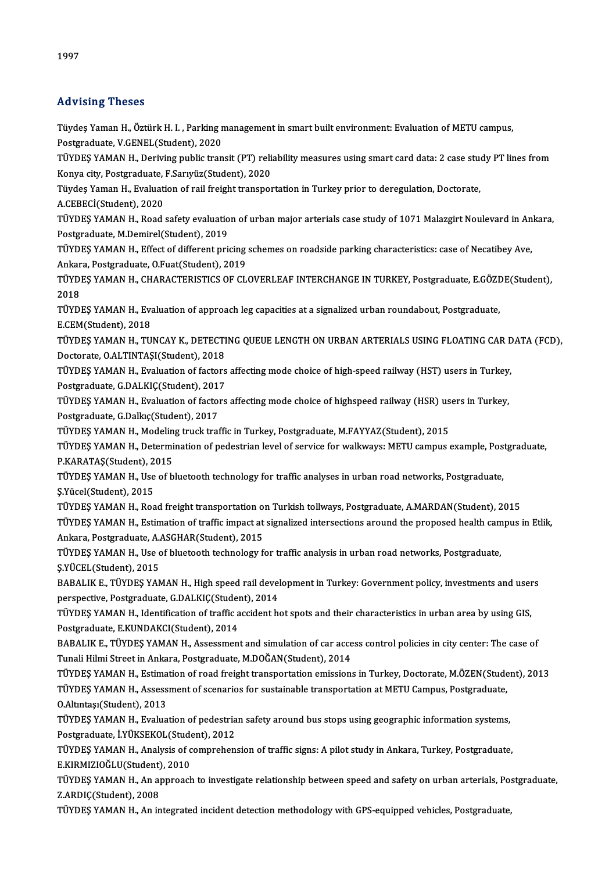## Advising Theses

Advising Theses<br>Tüydeş Yaman H., Öztürk H. I. , Parking management in smart built environment: Evaluation of METU campus,<br>Postsraduate V.CENEL(Student), 2020 rra vising i nosse<br>Tüydeş Yaman H., Öztürk H. I. , Parking r<br>Postgraduate, V.GENEL(Student), 2020<br>TÜYDES YAMAN H., Doriying publis tran Tüydeş Yaman H., Öztürk H. I. , Parking management in smart built environment: Evaluation of METU campus,<br>Postgraduate, V.GENEL(Student), 2020<br>TÜYDEŞ YAMAN H., Deriving public transit (PT) reliability measures using smart

Postgraduate, V.GENEL(Student), 2020<br>TÜYDEŞ YAMAN H., Deriving public transit (PT) reli<br>Konya city, Postgraduate, F.Sarıyüz(Student), 2020<br>Tüydes Yaman H., Evaluation of reil freight transpos TÜYDEŞ YAMAN H., Deriving public transit (PT) reliability measures using smart card data: 2 case stue<br>Konya city, Postgraduate, F.Sarıyüz(Student), 2020<br>Tüydeş Yaman H., Evaluation of rail freight transportation in Turkey

Konya city, Postgraduate, F.Sarıyüz(Student), 2020<br>Tüydeş Yaman H., Evaluation of rail freight transportation in Turkey prior to deregulation, Doctorate,<br>A.CEBECİ(Student), 2020

Tüydeş Yaman H., Evaluation of rail freight transportation in Turkey prior to deregulation, Doctorate,<br>A.CEBECİ(Student), 2020<br>TÜYDEŞ YAMAN H., Road safety evaluation of urban major arterials case study of 1071 Malazgirt N A.CEBECİ(Student), 2020<br>TÜYDEŞ YAMAN H., Road safety evaluatio<br>Postgraduate, M.Demirel(Student), 2019<br>TÜYDES YAMAN H., Effect of different pri TÜYDEŞ YAMAN H., Road safety evaluation of urban major arterials case study of 1071 Malazgirt Noulevard in An<br>Postgraduate, M.Demirel(Student), 2019<br>TÜYDEŞ YAMAN H., Effect of different pricing schemes on roadside parking

Postgraduate, M.Demirel(Student), 2019<br>TÜYDEŞ YAMAN H., Effect of different pricing schemes on roadside parking characteristics: case of Necatibey Ave,<br>Ankara, Postgraduate, O.Fuat(Student), 2019 TÜYDEŞ YAMAN H., Effect of different pricing schemes on roadside parking characteristics: case of Necatibey Ave,<br>Ankara, Postgraduate, O.Fuat(Student), 2019<br>TÜYDEŞ YAMAN H., CHARACTERISTICS OF CLOVERLEAF INTERCHANGE IN TUR

Ankar<br>TÜYDI<br>2018<br>TÜYDI TÜYDEŞ YAMAN H., CHARACTERISTICS OF CLOVERLEAF INTERCHANGE IN TURKEY, Postgraduate, E.GÖZI<br>2018<br>TÜYDEŞ YAMAN H., Evaluation of approach leg capacities at a signalized urban roundabout, Postgraduate,<br>E CEM(Student), 2019

2018<br>TÜYDEŞ YAMAN H., Eva<br>E.CEM(Student), 2018<br>TÜYDES YAMAN H., TU TÜYDEŞ YAMAN H., Evaluation of approach leg capacities at a signalized urban roundabout, Postgraduate,<br>E.CEM(Student), 2018<br>TÜYDEŞ YAMAN H., TUNCAY K., DETECTING QUEUE LENGTH ON URBAN ARTERIALS USING FLOATING CAR DATA (FCD

E.CEM(Student), 2018<br>TÜYDEŞ YAMAN H., TUNCAY K., DETECTI<br>Doctorate, O.ALTINTAŞI(Student), 2018<br>TÜYDES YAMAN H., Evaluation of factors TÜYDEŞ YAMAN H., TUNCAY K., DETECTING QUEUE LENGTH ON URBAN ARTERIALS USING FLOATING CAR D<br>Doctorate, O.ALTINTAŞI(Student), 2018<br>TÜYDEŞ YAMAN H., Evaluation of factors affecting mode choice of high-speed railway (HST) user

Doctorate, O.ALTINTAŞI(Student), 2018<br>TÜYDEŞ YAMAN H., Evaluation of factors affecting mode choice of high-speed railway (HST) users in Turkey,<br>Postgraduate, G.DALKIÇ(Student), 2017 TÜYDEŞ YAMAN H., Evaluation of factors affecting mode choice of high-speed railway (HST) users in Turkey,<br>Postgraduate, G.DALKIÇ(Student), 2017<br>TÜYDEŞ YAMAN H., Evaluation of factors affecting mode choice of highspeed rail

Postgraduate, G.DALKIÇ(Student), 201<br>TÜYDEŞ YAMAN H., Evaluation of factor<br>Postgraduate, G.Dalkıç(Student), 2017<br>TÜYDES YAMAN H. Modeling trusk tra TÜYDEŞ YAMAN H., Evaluation of factors affecting mode choice of highspeed railway (HSR) us<br>Postgraduate, G.Dalkıç(Student), 2017<br>TÜYDEŞ YAMAN H., Modeling truck traffic in Turkey, Postgraduate, M.FAYYAZ(Student), 2015<br>TÜYD

Postgraduate, G.Dalkıç(Student), 2017<br>TÜYDEŞ YAMAN H., Modeling truck traffic in Turkey, Postgraduate, M.FAYYAZ(Student), 2015<br>TÜYDEŞ YAMAN H., Determination of pedestrian level of service for walkways: METU campus example TÜYDEŞ YAMAN H., Modeling truck traffic in Turkey, Postgraduate, M.FAYYAZ(Student), 2015<br>TÜYDEŞ YAMAN H., Determination of pedestrian level of service for walkways: METU campus example, Pos<br>P.KARATAŞ(Student), 2015<br>TÜYDEŞ TÜYDEŞ YAMAN H., Determination of pedestrian level of service for walkways: METU campus example, Pos<br>P.KARATAŞ(Student), 2015<br>TÜYDEŞ YAMAN H., Use of bluetooth technology for traffic analyses in urban road networks, Postgr

Ş.Yücel(Student),2015 TÜYDEŞ YAMAN H., Use of bluetooth technology for traffic analyses in urban road networks, Postgraduate,<br>Ş.Yücel(Student), 2015<br>TÜYDEŞ YAMAN H., Road freight transportation on Turkish tollways, Postgraduate, A.MARDAN(Studen

TÜYDEŞ YAMAN H., Estimation of traffic impact at signalized intersections around the proposed health campus in Etlik,<br>Ankara, Postgraduate, A.ASGHAR(Student), 2015 TÜYDEŞ YAMAN H., Road freight transportation o<mark>:</mark><br>TÜYDEŞ YAMAN H., Estimation of traffic impact at<br>Ankara, Postgraduate, A.ASGHAR(Student), 2015<br>TÜYDES YAMAN H., Hee of blustasth technology f TÜYDEŞ YAMAN H., Estimation of traffic impact at signalized intersections around the proposed health can<br>Ankara, Postgraduate, A.ASGHAR(Student), 2015<br>TÜYDEŞ YAMAN H., Use of bluetooth technology for traffic analysis in ur

Ankara, Postgraduate, A.<br>TÜYDEŞ YAMAN H., Use c<br>Ş.YÜCEL(Student), 2015<br>BARALIK E., TÜYDES YAN TÜYDEŞ YAMAN H., Use of bluetooth technology for traffic analysis in urban road networks, Postgraduate,<br>Ş.YÜCEL(Student), 2015<br>BABALIK E., TÜYDEŞ YAMAN H., High speed rail development in Turkey: Government policy, investme

Ş.YÜCEL(Student), 2015<br>BABALIK E., TÜYDEŞ YAMAN H., High speed rail devel<br>perspective, Postgraduate, G.DALKIÇ(Student), 2014<br>TÜYDES YAMAN H., Identification of traffic assident b BABALIK E., TÜYDEŞ YAMAN H., High speed rail development in Turkey: Government policy, investments and user<br>perspective, Postgraduate, G.DALKIÇ(Student), 2014<br>TÜYDEŞ YAMAN H., Identification of traffic accident hot spots a

perspective, Postgraduate, G.DALKIÇ(Student), 2014<br>TÜYDEŞ YAMAN H., Identification of traffic accident hot spots and their characteristics in urban area by using GIS,<br>Postgraduate, E.KUNDAKCI(Student), 2014 TÜYDEŞ YAMAN H., Identification of traffic accident hot spots and their characteristics in urban area by using GIS,<br>Postgraduate, E.KUNDAKCI(Student), 2014<br>BABALIK E., TÜYDEŞ YAMAN H., Assessment and simulation of car acce

Postgraduate, E.KUNDAKCI(Student), 2014<br>BABALIK E., TÜYDEŞ YAMAN H., Assessment and simulation of car acce<br>Tunali Hilmi Street in Ankara, Postgraduate, M.DOĞAN(Student), 2014<br>TÜYDES YAMAN H., Estimation of road freight tra BABALIK E., TÜYDEŞ YAMAN H., Assessment and simulation of car access control policies in city center: The case of<br>Tunali Hilmi Street in Ankara, Postgraduate, M.DOĞAN(Student), 2014<br>TÜYDEŞ YAMAN H., Estimation of road frei

Tunali Hilmi Street in Ankara, Postgraduate, M.DOĞAN(Student), 2014<br>TÜYDEŞ YAMAN H., Estimation of road freight transportation emissions in Turkey, Doctorate, M.ÖZEN(Stude<br>TÜYDEŞ YAMAN H., Assessment of scenarios for susta TÜYDEŞ YAMAN H., Estima<br>TÜYDEŞ YAMAN H., Assess<br>O.Altıntaşı(Student), 2013<br>TÜYDES YAMAN H., Evalua TÜYDEŞ YAMAN H., Assessment of scenarios for sustainable transportation at METU Campus, Postgraduate,<br>O.Altıntaşı(Student), 2013<br>TÜYDEŞ YAMAN H., Evaluation of pedestrian safety around bus stops using geographic informatio

O.Altıntaşı(Student), 2013<br>TÜYDEŞ YAMAN H., Evaluation of pedestria<br>Postgraduate, İ.YÜKSEKOL(Student), 2012<br>TÜYDES YAMAN H., Anakrais of somnrahan TÜYDEŞ YAMAN H., Evaluation of pedestrian safety around bus stops using geographic information systems,<br>Postgraduate, İ.YÜKSEKOL(Student), 2012<br>TÜYDEŞ YAMAN H., Analysis of comprehension of traffic signs: A pilot study in

Postgraduate, İ.YÜKSEKOL(Student), 2012<br>TÜYDEŞ YAMAN H., Analysis of comprehension of traffic signs: A pilot study in Ankara, Turkey, Postgraduate, TÜYDEŞ YAMAN H., Analysis of comprehension of traffic signs: A pilot study in Ankara, Turkey, Postgraduate,<br>E.KIRMIZIOĞLU(Student), 2010<br>TÜYDEŞ YAMAN H., An approach to investigate relationship between speed and safety on

E.KIRMIZIOĞLU(Student), 2010<br>TÜYDEŞ YAMAN H., An approach to investigate relationship between speed and safety on urban arterials, Pos<br>Z.ARDIÇ(Student), 2008<br>TÜYDEŞ YAMAN H., An integrated incident detection methodology wi TÜYDEŞ YAMAN H., An approach to investigate relationship between speed and safety on urban arterials, Po:<br>Z.ARDIÇ(Student), 2008<br>TÜYDEŞ YAMAN H., An integrated incident detection methodology with GPS-equipped vehicles, Pos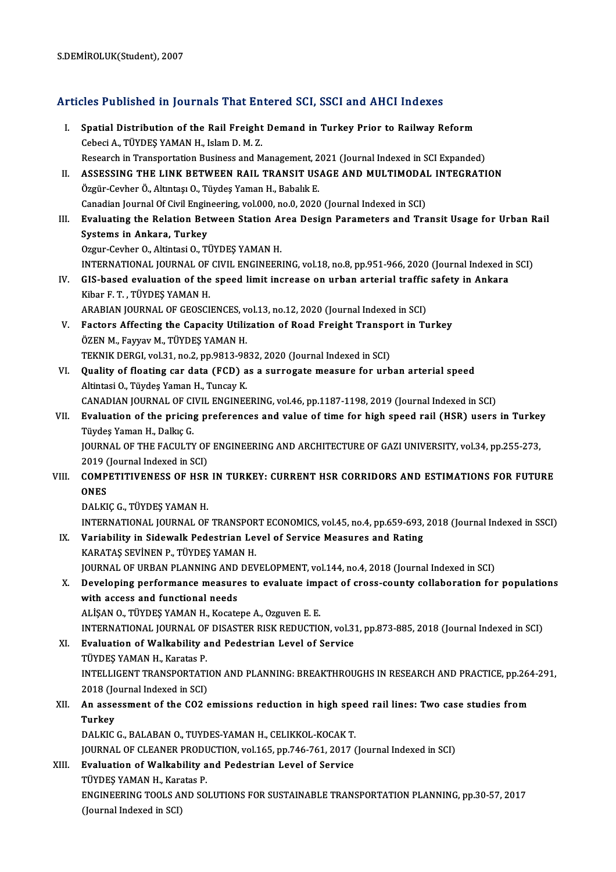# S.DEMIROLOR(Student), 2007<br>Articles Published in Journals That Entered SCI, SSCI and AHCI Indexes

| Articles Published in Journals That Entered SCI, SSCI and AHCI Indexes |                                                                                                                                      |  |
|------------------------------------------------------------------------|--------------------------------------------------------------------------------------------------------------------------------------|--|
| L.                                                                     | Spatial Distribution of the Rail Freight Demand in Turkey Prior to Railway Reform<br>Cebeci A., TÜYDEŞ YAMAN H., Islam D. M. Z.      |  |
|                                                                        | Research in Transportation Business and Management, 2021 (Journal Indexed in SCI Expanded)                                           |  |
| П.                                                                     | ASSESSING THE LINK BETWEEN RAIL TRANSIT USAGE AND MULTIMODAL INTEGRATION                                                             |  |
|                                                                        | Özgür-Cevher Ö., Altıntaşı O., Tüydeş Yaman H., Babalık E.                                                                           |  |
|                                                                        | Canadian Journal Of Civil Engineering, vol.000, no.0, 2020 (Journal Indexed in SCI)                                                  |  |
| III.                                                                   | Evaluating the Relation Between Station Area Design Parameters and Transit Usage for Urban Rail                                      |  |
|                                                                        | Systems in Ankara, Turkey<br>Ozgur-Cevher O., Altintasi O., TÜYDEŞ YAMAN H.                                                          |  |
|                                                                        | INTERNATIONAL JOURNAL OF CIVIL ENGINEERING, vol.18, no.8, pp.951-966, 2020 (Journal Indexed in SCI)                                  |  |
| IV.                                                                    | GIS-based evaluation of the speed limit increase on urban arterial traffic safety in Ankara                                          |  |
|                                                                        | Kibar F T , TÜYDEŞ YAMAN H.                                                                                                          |  |
|                                                                        | ARABIAN JOURNAL OF GEOSCIENCES, vol.13, no.12, 2020 (Journal Indexed in SCI)                                                         |  |
| V.                                                                     | Factors Affecting the Capacity Utilization of Road Freight Transport in Turkey                                                       |  |
|                                                                        | ÖZEN M., Fayyav M., TÜYDEŞ YAMAN H.                                                                                                  |  |
|                                                                        | TEKNIK DERGI, vol.31, no.2, pp.9813-9832, 2020 (Journal Indexed in SCI)                                                              |  |
| VI.                                                                    | Quality of floating car data (FCD) as a surrogate measure for urban arterial speed                                                   |  |
|                                                                        | Altintasi O., Tüydeş Yaman H., Tuncay K.                                                                                             |  |
|                                                                        | CANADIAN JOURNAL OF CIVIL ENGINEERING, vol.46, pp.1187-1198, 2019 (Journal Indexed in SCI)                                           |  |
| VII.                                                                   | Evaluation of the pricing preferences and value of time for high speed rail (HSR) users in Turkey<br>Tüydeş Yaman H., Dalkıç G.      |  |
|                                                                        | JOURNAL OF THE FACULTY OF ENGINEERING AND ARCHITECTURE OF GAZI UNIVERSITY, vol.34, pp.255-273,                                       |  |
|                                                                        | 2019 (Journal Indexed in SCI)                                                                                                        |  |
| VIII.                                                                  | <b>COMPETITIVENESS OF HSR IN TURKEY: CURRENT HSR CORRIDORS AND ESTIMATIONS FOR FUTURE</b>                                            |  |
|                                                                        | <b>ONES</b>                                                                                                                          |  |
|                                                                        | DALKIÇ G., TÜYDEŞ YAMAN H.                                                                                                           |  |
|                                                                        | INTERNATIONAL JOURNAL OF TRANSPORT ECONOMICS, vol.45, no.4, pp.659-693, 2018 (Journal Indexed in SSCI)                               |  |
| IX.                                                                    | Variability in Sidewalk Pedestrian Level of Service Measures and Rating                                                              |  |
|                                                                        | KARATAŞ SEVİNEN P., TÜYDEŞ YAMAN H.                                                                                                  |  |
|                                                                        | JOURNAL OF URBAN PLANNING AND DEVELOPMENT, vol.144, no.4, 2018 (Journal Indexed in SCI)                                              |  |
| Х.                                                                     | Developing performance measures to evaluate impact of cross-county collaboration for populations<br>with access and functional needs |  |
|                                                                        | ALİŞAN O., TÜYDEŞ YAMAN H., Kocatepe A., Ozguven E. E.                                                                               |  |
|                                                                        | INTERNATIONAL JOURNAL OF DISASTER RISK REDUCTION, vol.31, pp.873-885, 2018 (Journal Indexed in SCI)                                  |  |
| XI.                                                                    | Evaluation of Walkability and Pedestrian Level of Service                                                                            |  |
|                                                                        | TÜYDES YAMAN H., Karatas P.                                                                                                          |  |
|                                                                        | INTELLIGENT TRANSPORTATION AND PLANNING: BREAKTHROUGHS IN RESEARCH AND PRACTICE, pp.264-291,                                         |  |
|                                                                        | 2018 (Journal Indexed in SCI)                                                                                                        |  |
| XII.                                                                   | An assessment of the CO2 emissions reduction in high speed rail lines: Two case studies from                                         |  |
|                                                                        | <b>Turkey</b>                                                                                                                        |  |
|                                                                        | DALKIC G., BALABAN O., TUYDES-YAMAN H., CELIKKOL-KOCAK T.                                                                            |  |
|                                                                        | JOURNAL OF CLEANER PRODUCTION, vol.165, pp.746-761, 2017 (Journal Indexed in SCI)                                                    |  |
| XIII.                                                                  | Evaluation of Walkability and Pedestrian Level of Service                                                                            |  |
|                                                                        | TÜYDEŞ YAMAN H., Karatas P.<br>ENGINEERING TOOLS AND SOLUTIONS FOR SUSTAINABLE TRANSPORTATION PLANNING, pp.30-57, 2017               |  |
|                                                                        | (Journal Indexed in SCI)                                                                                                             |  |
|                                                                        |                                                                                                                                      |  |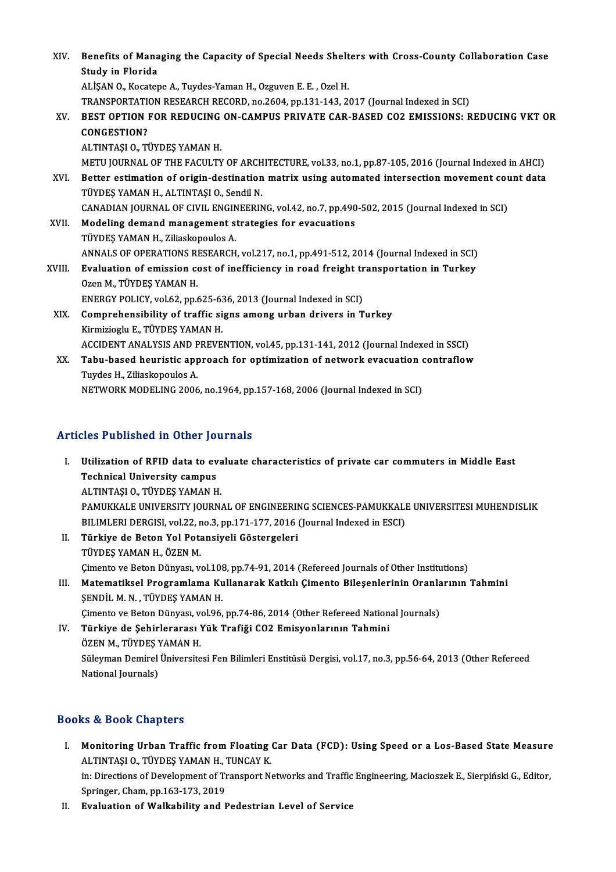XIV. Benefits of Managing the Capacity of Special Needs Shelters with Cross-County Collaboration Case<br>Study in Florida **Benefits of Mana<br>Study in Florida<br>ALISAN O** *Ves***ster** Study in Florida<br>ALİSAN O., Kocatepe A., Tuydes-Yaman H., Ozguven E. E. , Ozel H. Study in Florida<br>ALİŞAN O., Kocatepe A., Tuydes-Yaman H., Ozguven E. E. , Ozel H.<br>TRANSPORTATION EGP PEDUCINC ON CAMPUS PRIVATE CAR BASED CO3 EMISSIONS: P<br>BEST OPTION EOP PEDUCINC ON CAMPUS PRIVATE CAR BASED CO3 EMISSIONS: XV. BEST OPTION FOR REDUCING ON-CAMPUS PRIVATE CAR-BASED CO2 EMISSIONS: REDUCING VKT OR TRANSPORTATION<br>BEST OPTION |<br>CONGESTION?<br>ALTINTASLO TI ALTINTAŞI O., TÜYDEŞ YAMAN H. CONGESTION?<br>ALTINTAȘI O., TÜYDEȘ YAMAN H.<br>METU JOURNAL OF THE FACULTY OF ARCHITECTURE, vol.33, no.1, pp.87-105, 2016 (Journal Indexed in AHCI)<br>Petter estimation of origin destination matrix using automated intersection mov XVI. Better estimation of origin-destination matrix using automated intersection movement count data<br>TÜYDES YAMAN H., ALTINTASI O., Sendil N. METU JOURNAL OF THE FACULTY OF ARCH<br>Better estimation of origin-destination<br>TÜYDEŞ YAMAN H., ALTINTAŞI O., Sendil N.<br>CANADIAN JOURNAL OF CIVIL ENCINEERIN Better estimation of origin-destination matrix using automated intersection movement cou<br>TÜYDEŞ YAMAN H., ALTINTAŞI O., Sendil N.<br>CANADIAN JOURNAL OF CIVIL ENGINEERING, vol.42, no.7, pp.490-502, 2015 (Journal Indexed in SC TÜYDEŞ YAMAN H., ALTINTAŞI O., Sendil N.<br>CANADIAN JOURNAL OF CIVIL ENGINEERING, vol.42, no.7, pp.490<br>XVII. Modeling demand management strategies for evacuations<br>TÜYDES VAMAN H. Zijaskopoules A CANADIAN JOURNAL OF CIVIL ENGIN<br>Modeling demand management s<br>TÜYDEŞ YAMAN H., Ziliaskopoulos A.<br>ANNALS OF OPERATIONS PESEARCH Modeling demand management strategies for evacuations<br>TÜYDEŞ YAMAN H., Ziliaskopoulos A.<br>ANNALS OF OPERATIONS RESEARCH, vol.217, no.1, pp.491-512, 2014 (Journal Indexed in SCI)<br>Evaluation of emission sest of inefficiency i TÜYDEŞ YAMAN H., Ziliaskopoulos A.<br>ANNALS OF OPERATIONS RESEARCH, vol.217, no.1, pp.491-512, 2014 (Journal Indexed in SCI)<br>XVIII. Evaluation of emission cost of inefficiency in road freight transportation in Turkey<br>Ogen M. ANNALS OF OPERATIONS RI<br>Evaluation of emission company<br>Ozen M., TÜYDEŞ YAMAN H.<br>ENEPCY POLICY vol 62 and Evaluation of emission cost of inefficiency in road freight tr<br>Ozen M., TÜYDEŞ YAMAN H.<br>ENERGY POLICY, vol.62, pp.625-636, 2013 (Journal Indexed in SCI)<br>Comprehensibility of traffis signs among urban drivers in T Ozen M., TÜYDEŞ YAMAN H.<br>ENERGY POLICY, vol.62, pp.625-636, 2013 (Journal Indexed in SCI)<br>XIX. Comprehensibility of traffic signs among urban drivers in Turkey<br>Kinmiziogly E. TÜYDES YAMAN H ENERGY POLICY, vol.62, pp.625-63<br>Comprehensibility of traffic si<br>Kirmizioglu E., TÜYDEŞ YAMAN H.<br>ACCIDENT ANALYSIS AND PREVE Comprehensibility of traffic signs among urban drivers in Turkey<br>Kirmizioglu E., TÜYDEŞ YAMAN H.<br>ACCIDENT ANALYSIS AND PREVENTION, vol.45, pp.131-141, 2012 (Journal Indexed in SSCI)<br>Tabu basad bounistis annuasab for antimi Kirmizioglu E., TÜYDEŞ YAMAN H.<br>ACCIDENT ANALYSIS AND PREVENTION, vol.45, pp.131-141, 2012 (Journal Indexed in SSCI)<br>XX. Tabu-based heuristic approach for optimization of network evacuation contraflow<br>Twrdes H. Zilieskapeu ACCIDENT ANALYSIS AND P<br>Tabu-based heuristic app<br>Tuydes H., Ziliaskopoulos A.<br>NETWORK MODELING 2006 XX. Tabu-based heuristic approach for optimization of network evacuation contraflow<br>Tuydes H., Ziliaskopoulos A.<br>NETWORK MODELING 2006, no.1964, pp.157-168, 2006 (Journal Indexed in SCI)

## Articles Published in Other Journals

- I. Utilization of RFID data to evaluate characteristics of private car commuters in Middle East Technical University campus ALTINTAŞI O., TÜYDEŞ YAMAN H. Technical University campus<br>ALTINTAȘI O., TÜYDEȘ YAMAN H.<br>PAMUKKALE UNIVERSITY JOURNAL OF ENGINEERING SCIENCES-PAMUKKALE UNIVERSITESI MUHENDISLIK<br>PILIMI EPLDERCISL VOL22, no.2, np.171.177.2016 (Journal Indoved in ESC). ALTINTAȘI O., TÜYDEȘ YAMAN H.<br>PAMUKKALE UNIVERSITY JOURNAL OF ENGINEERING SCIENCES-PAMUKKALI<br>BILIMLERI DERGISI, vol.22, no.3, pp.171-177, 2016 (Journal Indexed in ESCI)<br>Türkiye de Betan Yol Betaneiyeli Cöstergeleri BILIMLERI DERGISI, vol.22, no.3, pp.171-177, 2016 (Journal Indexed in ESCI)<br>II. Türkiye de Beton Yol Potansiyeli Göstergeleri
- TÜYDEŞ YAMAN H., ÖZEN M. Çimento ve Beton Dünyası, vol.108, pp.74-91, 2014 (Refereed Journals of Other Institutions) TÜYDEŞ YAMAN H., ÖZEN M.<br>(imento ve Beton Dünyası, vol.108, pp.74-91, 2014 (Refereed Journals of Other Institutions)<br>III. Matematiksel Programlama Kullanarak Katkılı Çimento Bileşenlerinin Oranlarının Tahmini<br>SENDİLM N. TÜ
- Çimento ve Beton Dünyası, vol.108<br>Matematiksel Programlama Ku<br>ŞENDİL M. N. , TÜYDEŞ YAMAN H.<br>Gimente ve Betan Dünyası, vol.96 Matematiksel Programlama Kullanarak Katkılı Çimento Bileşenlerinin Oranla<br>ŞENDİL M.N., TÜYDEŞ YAMAN H.<br>Çimento ve Beton Dünyası, vol.96, pp.74-86, 2014 (Other Refereed National Journals)<br>Türkiye de Sebirlereresı Yük Trefiğ

SENDİL M. N. , TÜYDEŞ YAMAN H.<br>Cimento ve Beton Dünyası, vol.96, pp.74-86, 2014 (Other Refereed Nation<br>IV. Türkiye de Şehirlerarası Yük Trafiği CO2 Emisyonlarının Tahmini<br>ÖZEN M. TÜYDES YAMAN H Çimento ve Beton Dünyası, ve<br>Türkiye de Şehirlerarası<br>ÖZEN M., TÜYDEŞ YAMAN H.<br>Süleyman Demirel Üniversite Türkiye de Şehirlerarası Yük Trafiği CO2 Emisyonlarının Tahmini<br>ÖZEN M., TÜYDEŞ YAMAN H.<br>Süleyman Demirel Üniversitesi Fen Bilimleri Enstitüsü Dergisi, vol.17, no.3, pp.56-64, 2013 (Other Refereed<br>National Journale) ÖZEN M., TÜYDEŞ )<br>Süleyman Demirel<br>National Journals) National Journals)<br>Books & Book Chapters

- OOks & Book Chapters<br>I. Monitoring Urban Traffic from Floating Car Data (FCD): Using Speed or a Los-Based State Measure<br>ALTINTASLO TÜVDES VAMAN H. TUNGAV K LE & DOOK GRAPCIS<br>Monitoring Urban Traffic from Floating<br>ALTINTAŞI O., TÜYDEŞ YAMAN H., TUNCAY K.<br>in: Directions of Development of Transport N. Monitoring Urban Traffic from Floating Car Data (FCD): Using Speed or a Los-Based State Measure<br>ALTINTAȘI 0., TÜYDEȘ YAMAN H., TUNCAY K.<br>in: Directions of Development of Transport Networks and Traffic Engineering, Maciosze ALTINTAȘI O., TÜYDEȘ YAMAN H., TUNCAY K.<br>in: Directions of Development of Transport Networks and Traffic Engineering, Macioszek E., Sierpiński G., Editor,<br>Springer, Cham, pp.163-173, 2019
- II. Evaluation of Walkability and Pedestrian Level of Service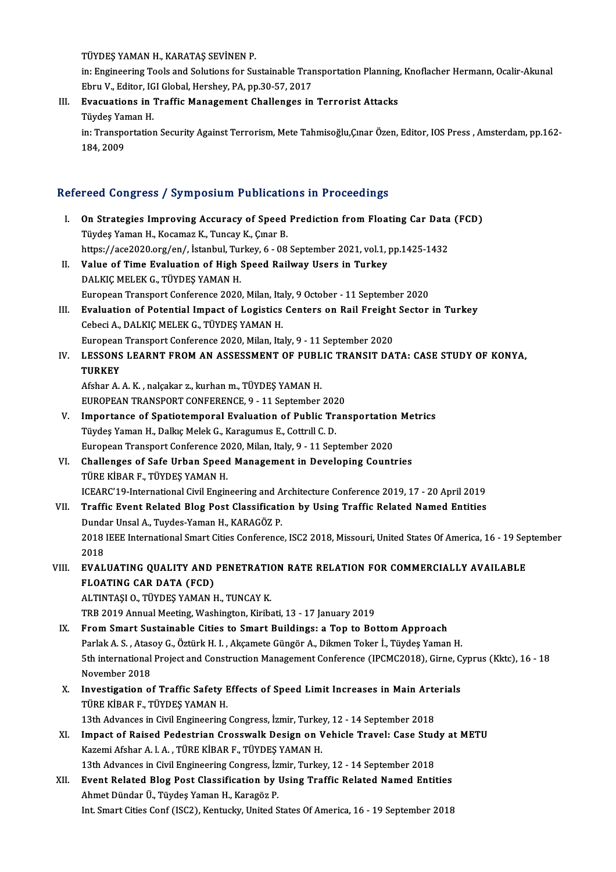TÜYDEŞ YAMAN H., KARATAŞ SEVİNEN P.

TÜYDEŞ YAMAN H., KARATAŞ SEVİNEN P.<br>in: Engineering Tools and Solutions for Sustainable Transportation Planning, Knoflacher Hermann, Ocalir-Akunal<br>Fhru V. Editor J.C.L.Clebel, Harebey, P.A. np. 30, 57, 3017. TÜYDEŞ YAMAN H., KARATAŞ SEVİNEN P.<br>in: Engineering Tools and Solutions for Sustainable Tran<br>Ebru V., Editor, IGI Global, Hershey, PA, pp.30-57, 2017<br>Evasuations in Traffis Manasamant Shallanges in in: Engineering Tools and Solutions for Sustainable Transportation Planning<br>Ebru V., Editor, IGI Global, Hershey, PA, pp.30-57, 2017<br>III. Evacuations in Traffic Management Challenges in Terrorist Attacks<br>Tüydes Vaman H

Ebru V., Editor, IG<br><mark>Evacuations in</mark><br>Tüydeş Yaman H.<br>in: Transportatiol Evacuations in Traffic Management Challenges in Terrorist Attacks<br>Tüydeş Yaman H.<br>in: Transportation Security Against Terrorism, Mete Tahmisoğlu,Çınar Özen, Editor, IOS Press , Amsterdam, pp.162-<br>184-2009

Tüydeş Yar<br>in: Transpo<br>184, 2009

# 184,2009<br>Refereed Congress / Symposium Publications in Proceedings

| Refereed Congress / Symposium Publications in Proceedings |                                                                                                                   |
|-----------------------------------------------------------|-------------------------------------------------------------------------------------------------------------------|
| L.                                                        | On Strategies Improving Accuracy of Speed Prediction from Floating Car Data (FCD)                                 |
|                                                           | Tüydeş Yaman H., Kocamaz K., Tuncay K., Çınar B.                                                                  |
|                                                           | https://ace2020.org/en/, İstanbul, Turkey, 6 - 08 September 2021, vol.1, pp.1425-1432                             |
| П.                                                        | Value of Time Evaluation of High Speed Railway Users in Turkey                                                    |
|                                                           | DALKIÇ MELEK G., TÜYDEŞ YAMAN H.                                                                                  |
|                                                           | European Transport Conference 2020, Milan, Italy, 9 October - 11 September 2020                                   |
| Ш.                                                        | Evaluation of Potential Impact of Logistics Centers on Rail Freight Sector in Turkey                              |
|                                                           | Cebeci A., DALKIÇ MELEK G., TÜYDEŞ YAMAN H.                                                                       |
|                                                           | European Transport Conference 2020, Milan, Italy, 9 - 11 September 2020                                           |
| IV.                                                       | LESSONS LEARNT FROM AN ASSESSMENT OF PUBLIC TRANSIT DATA: CASE STUDY OF KONYA,<br><b>TURKEY</b>                   |
|                                                           | Afshar A. A. K., nalçakar z., kurhan m., TÜYDEŞ YAMAN H.                                                          |
|                                                           | EUROPEAN TRANSPORT CONFERENCE, 9 - 11 September 2020                                                              |
| V.                                                        | Importance of Spatiotemporal Evaluation of Public Transportation Metrics                                          |
|                                                           | Tüydeş Yaman H., Dalkıç Melek G., Karagumus E., Cottrıll C. D.                                                    |
|                                                           | European Transport Conference 2020, Milan, Italy, 9 - 11 September 2020                                           |
| VI.                                                       | Challenges of Safe Urban Speed Management in Developing Countries                                                 |
|                                                           | TÜRE KİBAR F., TÜYDEŞ YAMAN H.                                                                                    |
|                                                           | ICEARC'19-International Civil Engineering and Architecture Conference 2019, 17 - 20 April 2019                    |
| VII.                                                      | Traffic Event Related Blog Post Classification by Using Traffic Related Named Entities                            |
|                                                           | Dundar Unsal A., Tuydes-Yaman H., KARAGÖZ P.                                                                      |
|                                                           | 2018 IEEE International Smart Cities Conference, ISC2 2018, Missouri, United States Of America, 16 - 19 September |
|                                                           | 2018                                                                                                              |
| VIII.                                                     | EVALUATING QUALITY AND PENETRATION RATE RELATION FOR COMMERCIALLY AVAILABLE                                       |
|                                                           | <b>FLOATING CAR DATA (FCD)</b>                                                                                    |
|                                                           | ALTINTAȘI O., TÜYDEȘ YAMAN H., TUNCAY K.                                                                          |
|                                                           | TRB 2019 Annual Meeting, Washington, Kiribati, 13 - 17 January 2019                                               |
| IX.                                                       | From Smart Sustainable Cities to Smart Buildings: a Top to Bottom Approach                                        |
|                                                           | Parlak A. S., Atasoy G., Öztürk H. I., Akçamete Güngör A., Dikmen Toker İ., Tüydeş Yaman H.                       |
|                                                           | 5th international Project and Construction Management Conference (IPCMC2018), Girne, Cyprus (Kktc), 16 - 18       |
|                                                           | November 2018                                                                                                     |
| X.                                                        | Investigation of Traffic Safety Effects of Speed Limit Increases in Main Arterials                                |
|                                                           | TÜRE KİBAR F., TÜYDEŞ YAMAN H.                                                                                    |
|                                                           | 13th Advances in Civil Engineering Congress, İzmir, Turkey, 12 - 14 September 2018                                |
| XI.                                                       | Impact of Raised Pedestrian Crosswalk Design on Vehicle Travel: Case Study at METU                                |
|                                                           | Kazemi Afshar A. l. A., TÜRE KİBAR F., TÜYDEŞ YAMAN H.                                                            |
|                                                           | 13th Advances in Civil Engineering Congress, İzmir, Turkey, 12 - 14 September 2018                                |
| XII.                                                      | Event Related Blog Post Classification by Using Traffic Related Named Entities                                    |
|                                                           | Ahmet Dündar Ü., Tüydeş Yaman H., Karagöz P.                                                                      |
|                                                           | Int. Smart Cities Conf (ISC2), Kentucky, United States Of America, 16 - 19 September 2018                         |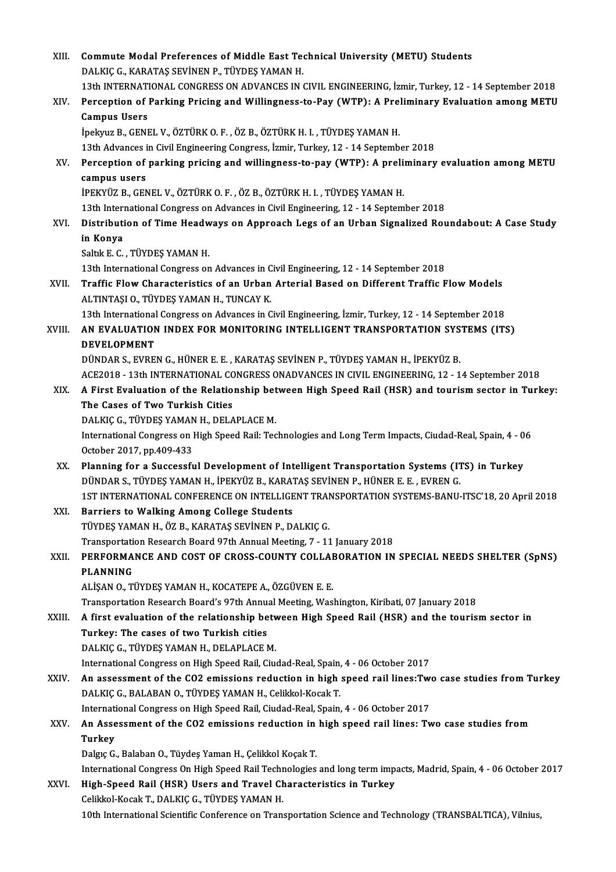| XIII.  | Commute Modal Preferences of Middle East Technical University (METU) Students                                                                                                    |
|--------|----------------------------------------------------------------------------------------------------------------------------------------------------------------------------------|
|        | DALKIÇ G., KARATAŞ SEVİNEN P., TÜYDEŞ YAMAN H.                                                                                                                                   |
|        | 13th INTERNATIONAL CONGRESS ON ADVANCES IN CIVIL ENGINEERING, İzmir, Turkey, 12 - 14 September 2018                                                                              |
| XIV.   | Perception of Parking Pricing and Willingness-to-Pay (WTP): A Preliminary Evaluation among METU                                                                                  |
|        | <b>Campus Users</b>                                                                                                                                                              |
|        | İpekyuz B., GENEL V., ÖZTÜRK O. F., ÖZ B., ÖZTÜRK H. I., TÜYDEŞ YAMAN H.                                                                                                         |
|        | 13th Advances in Civil Engineering Congress, İzmir, Turkey, 12 - 14 September 2018                                                                                               |
| XV.    | Perception of parking pricing and willingness-to-pay (WTP): A preliminary evaluation among METU<br>campus users                                                                  |
|        | İPEKYÜZ B., GENEL V., ÖZTÜRK O. F., ÖZ B., ÖZTÜRK H. I., TÜYDEŞ YAMAN H.                                                                                                         |
|        | 13th International Congress on Advances in Civil Engineering, 12 - 14 September 2018                                                                                             |
| XVI.   | Distribution of Time Headways on Approach Legs of an Urban Signalized Roundabout: A Case Study                                                                                   |
|        | in Konya                                                                                                                                                                         |
|        | Saltık E. C., TÜYDEŞ YAMAN H.                                                                                                                                                    |
|        | 13th International Congress on Advances in Civil Engineering, 12 - 14 September 2018                                                                                             |
| XVII.  | Traffic Flow Characteristics of an Urban Arterial Based on Different Traffic Flow Models<br>ALTINTAȘI O., TÜYDEȘ YAMAN H., TUNCAY K.                                             |
|        | 13th International Congress on Advances in Civil Engineering, İzmir, Turkey, 12 - 14 September 2018                                                                              |
| XVIII. | AN EVALUATION INDEX FOR MONITORING INTELLIGENT TRANSPORTATION SYSTEMS (ITS)<br><b>DEVELOPMENT</b>                                                                                |
|        | DÜNDAR S., EVREN G., HÜNER E. E., KARATAŞ SEVİNEN P., TÜYDEŞ YAMAN H., İPEKYÜZ B.                                                                                                |
|        | ACE2018 - 13th INTERNATIONAL CONGRESS ONADVANCES IN CIVIL ENGINEERING, 12 - 14 September 2018                                                                                    |
| XIX.   | A First Evaluation of the Relationship between High Speed Rail (HSR) and tourism sector in Turkey:                                                                               |
|        | The Cases of Two Turkish Cities                                                                                                                                                  |
|        | DALKIÇ G., TÜYDEŞ YAMAN H., DELAPLACE M.                                                                                                                                         |
|        | International Congress on High Speed Rail: Technologies and Long Term Impacts, Ciudad-Real, Spain, 4 - 06                                                                        |
|        | October 2017, pp 409-433                                                                                                                                                         |
| XX.    | Planning for a Successful Development of Intelligent Transportation Systems (ITS) in Turkey<br>DÜNDAR S., TÜYDEŞ YAMAN H., İPEKYÜZ B., KARATAŞ SEVİNEN P., HÜNER E. E., EVREN G. |
|        | 1ST INTERNATIONAL CONFERENCE ON INTELLIGENT TRANSPORTATION SYSTEMS-BANU-ITSC'18, 20 April 2018                                                                                   |
| XXI.   | <b>Barriers to Walking Among College Students</b>                                                                                                                                |
|        | TÜYDEŞ YAMAN H., ÖZ B., KARATAŞ SEVİNEN P., DALKIÇ G.                                                                                                                            |
|        | Transportation Research Board 97th Annual Meeting, 7 - 11 January 2018                                                                                                           |
| XXII.  | PERFORMANCE AND COST OF CROSS-COUNTY COLLABORATION IN SPECIAL NEEDS SHELTER (SpNS)                                                                                               |
|        | <b>PLANNING</b>                                                                                                                                                                  |
|        | ALİŞAN O., TÜYDEŞ YAMAN H., KOCATEPE A., ÖZGÜVEN E. E.                                                                                                                           |
|        | Transportation Research Board's 97th Annual Meeting, Washington, Kiribati, 07 January 2018                                                                                       |
| XXIII. | A first evaluation of the relationship between High Speed Rail (HSR) and the tourism sector in                                                                                   |
|        | Turkey: The cases of two Turkish cities<br>DALKIÇ G., TÜYDEŞ YAMAN H., DELAPLACE M.                                                                                              |
|        | International Congress on High Speed Rail, Ciudad-Real, Spain, 4 - 06 October 2017                                                                                               |
| XXIV.  | An assessment of the CO2 emissions reduction in high speed rail lines: Two case studies from Turkey                                                                              |
|        | DALKIÇ G., BALABAN O., TÜYDEŞ YAMAN H., Celikkol-Kocak T.                                                                                                                        |
|        | International Congress on High Speed Rail, Ciudad-Real, Spain, 4 - 06 October 2017                                                                                               |
| XXV.   | An Assessment of the CO2 emissions reduction in high speed rail lines: Two case studies from                                                                                     |
|        | <b>Turkey</b>                                                                                                                                                                    |
|        | Dalgıç G., Balaban O., Tüydeş Yaman H., Çelikkol Koçak T.                                                                                                                        |
|        | International Congress On High Speed Rail Technologies and long term impacts, Madrid, Spain, 4 - 06 October 2017                                                                 |
| XXVI.  | High-Speed Rail (HSR) Users and Travel Characteristics in Turkey                                                                                                                 |
|        | Celikkol-Kocak T., DALKIÇ G., TÜYDEŞ YAMAN H.                                                                                                                                    |
|        | 10th International Scientific Conference on Transportation Science and Technology (TRANSBALTICA), Vilnius,                                                                       |
|        |                                                                                                                                                                                  |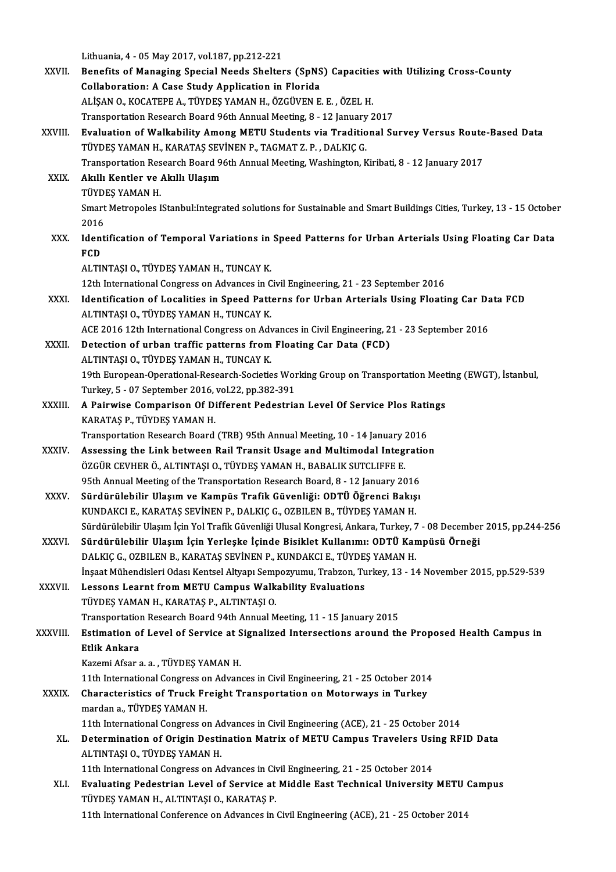Lithuania,4 -05May2017,vol.187,pp.212-221

|               | Lithuania, 4 - 05 May 2017, vol. 187, pp. 212-221                                                                                                                               |
|---------------|---------------------------------------------------------------------------------------------------------------------------------------------------------------------------------|
| XXVII.        | Benefits of Managing Special Needs Shelters (SpNS) Capacities with Utilizing Cross-County                                                                                       |
|               | Collaboration: A Case Study Application in Florida                                                                                                                              |
|               | ALİŞAN O., KOCATEPE A., TÜYDEŞ YAMAN H., ÖZGÜVEN E. E., ÖZEL H.                                                                                                                 |
|               | Transportation Research Board 96th Annual Meeting, 8 - 12 January 2017                                                                                                          |
| XXVIII.       | Evaluation of Walkability Among METU Students via Traditional Survey Versus Route-Based Data                                                                                    |
|               | TÜYDEŞ YAMAN H., KARATAŞ SEVİNEN P., TAGMAT Z. P., DALKIÇ G.                                                                                                                    |
|               | Transportation Research Board 96th Annual Meeting, Washington, Kiribati, 8 - 12 January 2017                                                                                    |
| XXIX.         | Akıllı Kentler ve Akıllı Ulaşım                                                                                                                                                 |
|               | TÜYDEŞ YAMAN H                                                                                                                                                                  |
|               | Smart Metropoles IStanbul: Integrated solutions for Sustainable and Smart Buildings Cities, Turkey, 13 - 15 October                                                             |
|               | 2016                                                                                                                                                                            |
| XXX.          | Identification of Temporal Variations in Speed Patterns for Urban Arterials Using Floating Car Data                                                                             |
|               | <b>FCD</b>                                                                                                                                                                      |
|               | ALTINTAȘI O., TÜYDEȘ YAMAN H., TUNCAY K.                                                                                                                                        |
|               | 12th International Congress on Advances in Civil Engineering, 21 - 23 September 2016                                                                                            |
| XXXI.         | Identification of Localities in Speed Patterns for Urban Arterials Using Floating Car Data FCD                                                                                  |
|               | ALTINTAȘI O., TÜYDEȘ YAMAN H., TUNCAY K.                                                                                                                                        |
| XXXII.        | ACE 2016 12th International Congress on Advances in Civil Engineering, 21 - 23 September 2016<br>Detection of urban traffic patterns from Floating Car Data (FCD)               |
|               | ALTINTAȘI O., TÜYDEȘ YAMAN H., TUNCAY K.                                                                                                                                        |
|               | 19th European-Operational-Research-Societies Working Group on Transportation Meeting (EWGT), İstanbul,                                                                          |
|               | Turkey, 5 - 07 September 2016, vol.22, pp.382-391                                                                                                                               |
| <b>XXXIII</b> | A Pairwise Comparison Of Different Pedestrian Level Of Service Plos Ratings                                                                                                     |
|               | KARATAŞ P., TÜYDEŞ YAMAN H.                                                                                                                                                     |
|               | Transportation Research Board (TRB) 95th Annual Meeting, 10 - 14 January 2016                                                                                                   |
| <b>XXXIV</b>  | Assessing the Link between Rail Transit Usage and Multimodal Integration                                                                                                        |
|               | ÖZGÜR CEVHER Ö., ALTINTAŞI O., TÜYDEŞ YAMAN H., BABALIK SUTCLIFFE E.                                                                                                            |
|               | 95th Annual Meeting of the Transportation Research Board, 8 - 12 January 2016                                                                                                   |
| XXXV          | Sürdürülebilir Ulaşım ve Kampüs Trafik Güvenliği: ODTÜ Öğrenci Bakısı                                                                                                           |
|               | KUNDAKCI E., KARATAŞ SEVİNEN P., DALKIÇ G., OZBILEN B., TÜYDEŞ YAMAN H.                                                                                                         |
|               | Sürdürülebilir Ulaşım İçin Yol Trafik Güvenliği Ulusal Kongresi, Ankara, Turkey, 7 - 08 December 2015, pp.244-256                                                               |
| XXXVI.        | Sürdürülebilir Ulaşım İçin Yerleşke İçinde Bisiklet Kullanımı: ODTÜ Kampüsü Örneği                                                                                              |
|               | DALKIÇ G., OZBILEN B., KARATAŞ SEVİNEN P., KUNDAKCI E., TÜYDEŞ YAMAN H.                                                                                                         |
|               | İnşaat Mühendisleri Odası Kentsel Altyapı Sempozyumu, Trabzon, Turkey, 13 - 14 November 2015, pp.529-539                                                                        |
| XXXVII.       | Lessons Learnt from METU Campus Walkability Evaluations                                                                                                                         |
|               | TÜYDEŞ YAMAN H., KARATAŞ P., ALTINTAŞI O.                                                                                                                                       |
|               | Transportation Research Board 94th Annual Meeting, 11 - 15 January 2015                                                                                                         |
| XXXVIII.      | Estimation of Level of Service at Signalized Intersections around the Proposed Health Campus in                                                                                 |
|               | Etlik Ankara                                                                                                                                                                    |
|               | Kazemi Afsar a a , TÜYDEŞ YAMAN H.                                                                                                                                              |
|               | 11th International Congress on Advances in Civil Engineering, 21 - 25 October 2014                                                                                              |
| <b>XXXIX</b>  | Characteristics of Truck Freight Transportation on Motorways in Turkey                                                                                                          |
|               | mardan a., TÜYDEŞ YAMAN H.                                                                                                                                                      |
| XL.           | 11th International Congress on Advances in Civil Engineering (ACE), 21 - 25 October 2014<br>Determination of Origin Destination Matrix of METU Campus Travelers Using RFID Data |
|               | ALTINTAȘI O., TÜYDEȘ YAMAN H.                                                                                                                                                   |
|               | 11th International Congress on Advances in Civil Engineering, 21 - 25 October 2014                                                                                              |
| XLI.          | Evaluating Pedestrian Level of Service at Middle East Technical University METU Campus                                                                                          |
|               | TÜYDEŞ YAMAN H., ALTINTAŞI O., KARATAŞ P.                                                                                                                                       |
|               | 11th International Conference on Advances in Civil Engineering (ACE), 21 - 25 October 2014                                                                                      |
|               |                                                                                                                                                                                 |